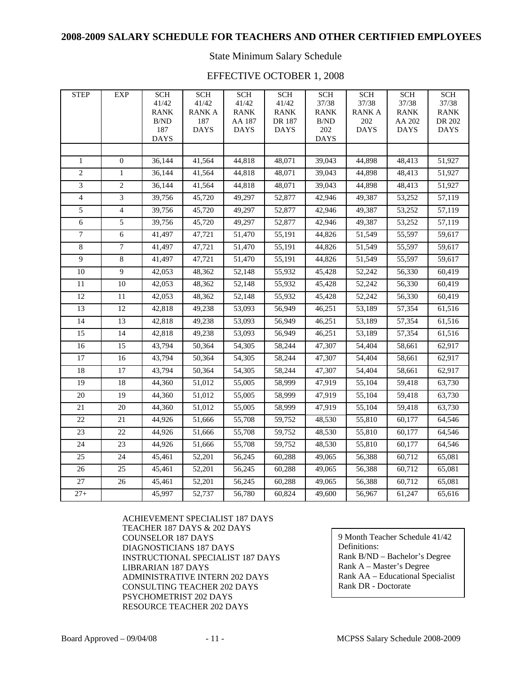### **2008-2009 SALARY SCHEDULE FOR TEACHERS AND OTHER CERTIFIED EMPLOYEES**

State Minimum Salary Schedule

### EFFECTIVE OCTOBER 1, 2008

| <b>STEP</b>     | <b>EXP</b>     | <b>SCH</b>  | <b>SCH</b>         | <b>SCH</b>          | <b>SCH</b>            | <b>SCH</b>        | <b>SCH</b>         | <b>SCH</b>            | <b>SCH</b>            |
|-----------------|----------------|-------------|--------------------|---------------------|-----------------------|-------------------|--------------------|-----------------------|-----------------------|
|                 |                | 41/42       | 41/42              | 41/42               | 41/42                 | 37/38             | 37/38              | 37/38                 | 37/38                 |
|                 |                | <b>RANK</b> | <b>RANKA</b>       | <b>RANK</b>         | <b>RANK</b>           | <b>RANK</b>       | <b>RANKA</b>       | <b>RANK</b>           | <b>RANK</b>           |
|                 |                | B/ND<br>187 | 187<br><b>DAYS</b> | AA 187              | DR 187<br><b>DAYS</b> | $\rm B/ND$<br>202 | 202<br><b>DAYS</b> | AA 202<br><b>DAYS</b> | DR 202<br><b>DAYS</b> |
|                 |                | <b>DAYS</b> |                    | <b>DAYS</b>         |                       | <b>DAYS</b>       |                    |                       |                       |
|                 |                |             |                    |                     |                       |                   |                    |                       |                       |
| $\mathbf{1}$    | $\theta$       | 36,144      | 41,564             | 44,818              | 48,071                | 39,043            | 44,898             | 48,413                | 51,927                |
| $\overline{2}$  | $\mathbf{1}$   | 36,144      | 41,564             | 44,818              | 48,071                | 39,043            | 44,898             | 48,413                | 51,927                |
| $\mathfrak{Z}$  | $\mathbf{2}$   | 36,144      | 41,564             | 44,818              | 48,071                | 39,043            | 44,898             | 48,413                | 51,927                |
| $\overline{4}$  | 3              | 39,756      | 45,720             | 49,297              | 52,877                | 42,946            | 49,387             | 53,252                | 57,119                |
| $\overline{5}$  | $\overline{4}$ | 39,756      | 45,720             | 49,297              | 52,877                | 42,946            | 49,387             | 53,252                | 57,119                |
| $\sqrt{6}$      | 5              | 39,756      | 45,720             | 49,297              | 52,877                | 42,946            | 49,387             | 53,252                | 57,119                |
| $\overline{7}$  | 6              | 41,497      | 47,721             | 51,470              | 55,191                | 44,826            | 51,549             | 55,597                | 59,617                |
| $\,8\,$         | 7              | 41,497      | 47,721             | 51,470              | 55,191                | 44,826            | 51,549             | 55,597                | 59,617                |
| 9               | 8              | 41,497      | 47,721             | 51,470              | 55,191                | 44,826            | 51,549             | 55,597                | 59,617                |
| $\overline{10}$ | $\overline{9}$ | 42,053      | 48,362             | 52,148              | 55,932                | 45,428            | 52,242             | 56,330                | 60,419                |
| 11              | 10             | 42,053      | 48,362             | 52,148              | 55,932                | 45,428            | 52,242             | 56,330                | 60,419                |
| 12              | 11             | 42,053      | 48,362             | 52,148              | 55,932                | 45,428            | 52,242             | 56,330                | 60,419                |
| 13              | 12             | 42,818      | 49,238             | 53,093              | 56,949                | 46,251            | 53,189             | 57,354                | 61,516                |
| 14              | 13             | 42,818      | 49,238             | 53,093              | 56,949                | 46,251            | 53,189             | 57,354                | 61,516                |
| 15              | 14             | 42,818      | 49,238             | 53,093              | 56,949                | 46,251            | 53,189             | 57,354                | 61,516                |
| 16              | 15             | 43,794      | 50,364             | 54,305              | 58,244                | 47,307            | 54,404             | 58,661                | 62,917                |
| 17              | 16             | 43,794      | 50,364             | 54,305              | 58,244                | 47,307            | 54,404             | 58,661                | 62,917                |
| 18              | 17             | 43,794      | 50,364             | 54,305              | 58,244                | 47,307            | 54,404             | 58,661                | 62,917                |
| 19              | 18             | 44,360      | 51,012             | 55,005              | 58,999                | 47,919            | 55,104             | 59,418                | 63,730                |
| 20              | 19             | 44,360      | 51,012             | 55,005              | 58,999                | 47,919            | 55,104             | 59,418                | 63,730                |
| $21\,$          | 20             | 44,360      | 51,012             | 55,005              | 58,999                | 47,919            | 55,104             | 59,418                | 63,730                |
| $\overline{22}$ | 21             | 44,926      | 51,666             | 55,708              | 59,752                | 48,530            | 55,810             | 60,177                | 64,546                |
| 23              | 22             | 44,926      | 51,666             | 55,708              | 59,752                | 48,530            | 55,810             | 60,177                | 64,546                |
| 24              | 23             | 44,926      | 51,666             | 55,708              | 59,752                | 48,530            | 55,810             | 60,177                | 64,546                |
| 25              | 24             | 45,461      | 52,201             | 56,245              | 60,288                | 49,065            | 56,388             | 60,712                | 65,081                |
| 26              | 25             | 45,461      | 52,201             | 56,245              | 60,288                | 49,065            | 56,388             | 60,712                | 65,081                |
| $\overline{27}$ | 26             | 45,461      | 52,201             | $\overline{56,}245$ | 60,288                | 49,065            | 56,388             | 60,712                | 65,081                |
| $27 +$          |                | 45,997      | 52,737             | 56,780              | 60,824                | 49,600            | 56,967             | 61,247                | 65,616                |

ACHIEVEMENT SPECIALIST 187 DAYS TEACHER 187 DAYS & 202 DAYS COUNSELOR 187 DAYS DIAGNOSTICIANS 187 DAYS INSTRUCTIONAL SPECIALIST 187 DAYS LIBRARIAN 187 DAYS ADMINISTRATIVE INTERN 202 DAYS CONSULTING TEACHER 202 DAYS PSYCHOMETRIST 202 DAYS RESOURCE TEACHER 202 DAYS

9 Month Teacher Schedule 41/42 Definitions: Rank B/ND – Bachelor's Degree Rank A – Master's Degree Rank AA – Educational Specialist Rank DR - Doctorate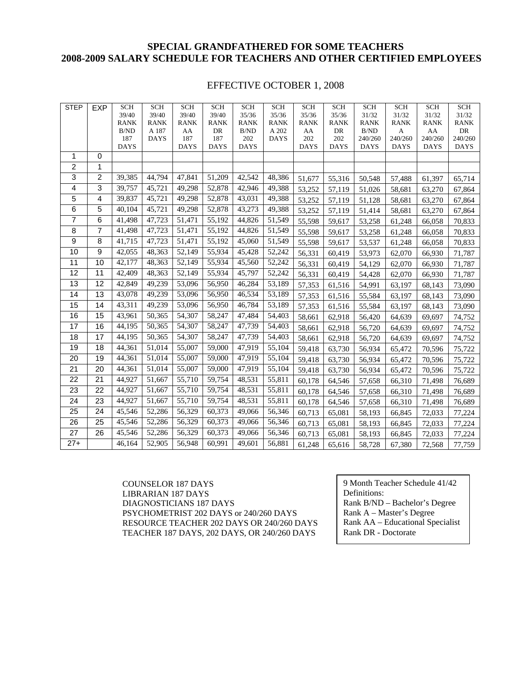## **SPECIAL GRANDFATHERED FOR SOME TEACHERS 2008-2009 SALARY SCHEDULE FOR TEACHERS AND OTHER CERTIFIED EMPLOYEES**

#### EFFECTIVE OCTOBER 1, 2008

| <b>STEP</b>     | <b>EXP</b>      | <b>SCH</b>           | <b>SCH</b>           | <b>SCH</b>           | <b>SCH</b>           | <b>SCH</b>           | <b>SCH</b>           | <b>SCH</b>    | <b>SCH</b>           | <b>SCH</b>           | <b>SCH</b>           | <b>SCH</b>           | <b>SCH</b>           |
|-----------------|-----------------|----------------------|----------------------|----------------------|----------------------|----------------------|----------------------|---------------|----------------------|----------------------|----------------------|----------------------|----------------------|
|                 |                 | 39/40<br><b>RANK</b> | 39/40<br><b>RANK</b> | 39/40<br><b>RANK</b> | 39/40<br><b>RANK</b> | 35/36<br><b>RANK</b> | 35/36<br><b>RANK</b> | 35/36<br>RANK | 35/36<br><b>RANK</b> | 31/32<br><b>RANK</b> | 31/32<br><b>RANK</b> | 31/32<br><b>RANK</b> | 31/32<br><b>RANK</b> |
|                 |                 | B/ND                 | A 187                | AA                   | DR                   | B/ND                 | A 202                | AA            | DR                   | B/ND                 | A                    | AA                   | DR                   |
|                 |                 | 187                  | <b>DAYS</b>          | 187                  | 187                  | $202\,$              | <b>DAYS</b>          | 202           | 202                  | 240/260              | 240/260              | 240/260              | 240/260              |
|                 |                 | <b>DAYS</b>          |                      | <b>DAYS</b>          | <b>DAYS</b>          | <b>DAYS</b>          |                      | <b>DAYS</b>   | <b>DAYS</b>          | <b>DAYS</b>          | <b>DAYS</b>          | <b>DAYS</b>          | <b>DAYS</b>          |
| 1               | 0               |                      |                      |                      |                      |                      |                      |               |                      |                      |                      |                      |                      |
| $\overline{c}$  | 1               |                      |                      |                      |                      |                      |                      |               |                      |                      |                      |                      |                      |
| 3               | $\overline{2}$  | 39,385               | 44,794               | 47,841               | 51,209               | 42,542               | 48,386               | 51,677        | 55,316               | 50,548               | 57,488               | 61,397               | 65,714               |
| 4               | $\overline{3}$  | 39,757               | 45,721               | 49,298               | 52,878               | 42,946               | 49,388               | 53,252        | 57,119               | 51,026               | 58,681               | 63,270               | 67,864               |
| 5               | $\overline{4}$  | 39,837               | 45,721               | 49,298               | 52,878               | 43,031               | 49,388               | 53,252        | 57,119               | 51,128               | 58,681               | 63,270               | 67,864               |
| 6               | 5               | 40,104               | 45,721               | 49,298               | 52,878               | 43,273               | 49,388               | 53,252        | 57,119               | 51,414               | 58,681               | 63,270               | 67,864               |
| $\overline{7}$  | 6               | 41,498               | 47,723               | 51,471               | 55,192               | 44,826               | 51,549               | 55,598        | 59,617               | 53,258               | 61,248               | 66,058               | 70,833               |
| 8               | 7               | 41,498               | 47,723               | 51,471               | 55,192               | 44,826               | 51,549               | 55,598        | 59,617               | 53,258               | 61,248               | 66,058               | 70,833               |
| 9               | 8               | 41,715               | 47,723               | 51,471               | 55,192               | 45,060               | 51,549               | 55,598        | 59,617               | 53,537               | 61,248               | 66,058               | 70,833               |
| 10              | 9               | 42,055               | 48,363               | 52,149               | 55,934               | 45,428               | 52,242               | 56,331        | 60,419               | 53,973               | 62,070               | 66,930               | 71,787               |
| 11              | $\overline{10}$ | 42,177               | 48,363               | 52,149               | 55,934               | 45,560               | 52,242               | 56,331        | 60,419               | 54,129               | 62,070               | 66,930               | 71,787               |
| 12              | $\overline{11}$ | 42,409               | 48,363               | 52,149               | 55,934               | 45,797               | 52,242               | 56,331        | 60,419               | 54,428               | 62,070               | 66,930               | 71,787               |
| 13              | 12              | 42,849               | 49,239               | 53,096               | 56,950               | 46,284               | 53,189               | 57,353        | 61,516               | 54,991               | 63,197               | 68,143               | 73,090               |
| 14              | 13              | 43,078               | 49,239               | 53,096               | 56,950               | 46,534               | 53,189               | 57,353        | 61,516               | 55,584               | 63,197               | 68,143               | 73,090               |
| 15              | $\overline{14}$ | 43,311               | 49,239               | 53,096               | 56,950               | 46,784               | 53,189               | 57,353        | 61,516               | 55,584               | 63,197               | 68,143               | 73,090               |
| 16              | 15              | 43,961               | 50,365               | 54,307               | 58,247               | 47,484               | 54,403               | 58,661        | 62,918               | 56,420               | 64,639               | 69,697               | 74,752               |
| 17              | 16              | 44,195               | 50,365               | 54,307               | 58,247               | 47,739               | 54,403               | 58,661        | 62,918               | 56,720               | 64,639               | 69,697               | 74,752               |
| 18              | 17              | 44,195               | 50,365               | 54,307               | 58,247               | 47,739               | 54,403               | 58,661        | 62,918               | 56,720               | 64,639               | 69,697               | 74,752               |
| 19              | 18              | 44,361               | 51,014               | 55,007               | 59,000               | 47,919               | 55,104               | 59,418        | 63,730               | 56,934               | 65,472               | 70,596               | 75,722               |
| 20              | 19              | 44,361               | 51,014               | 55,007               | 59,000               | 47,919               | 55,104               | 59,418        | 63,730               | 56,934               | 65,472               | 70,596               | 75,722               |
| $\overline{21}$ | 20              | 44,361               | 51,014               | 55,007               | 59,000               | 47,919               | 55,104               | 59,418        | 63,730               | 56,934               | 65,472               | 70,596               | 75,722               |
| 22              | 21              | 44,927               | 51,667               | 55,710               | 59,754               | 48,531               | 55,811               | 60,178        | 64,546               | 57,658               | 66,310               | 71,498               | 76,689               |
| 23              | 22              | 44,927               | 51,667               | 55,710               | 59,754               | 48,531               | 55,811               | 60,178        | 64,546               | 57,658               | 66,310               | 71,498               | 76,689               |
| 24              | 23              | 44,927               | 51,667               | 55,710               | 59,754               | 48,531               | 55,811               | 60,178        | 64,546               | 57,658               | 66,310               | 71,498               | 76,689               |
| 25              | 24              | 45,546               | 52,286               | 56,329               | 60,373               | 49,066               | 56,346               | 60,713        | 65,081               | 58,193               | 66,845               | 72,033               | 77,224               |
| 26              | 25              | 45,546               | 52,286               | 56,329               | 60,373               | 49,066               | 56,346               | 60,713        | 65,081               | 58,193               | 66,845               | 72,033               | 77,224               |
| 27              | 26              | 45,546               | 52,286               | 56,329               | 60,373               | 49,066               | 56,346               | 60,713        | 65,081               | 58,193               | 66,845               | 72,033               | 77,224               |
| $27+$           |                 | 46,164               | 52,905               | 56,948               | 60,991               | 49,601               | 56,881               | 61,248        | 65,616               | 58,728               | 67,380               | 72,568               | 77,759               |

COUNSELOR 187 DAYS LIBRARIAN 187 DAYS DIAGNOSTICIANS 187 DAYS PSYCHOMETRIST 202 DAYS or 240/260 DAYS RESOURCE TEACHER 202 DAYS OR 240/260 DAYS TEACHER 187 DAYS, 202 DAYS, OR 240/260 DAYS

9 Month Teacher Schedule 41/42 Definitions: Rank B/ND – Bachelor's Degree Rank A – Master's Degree Rank AA – Educational Specialist Rank DR - Doctorate